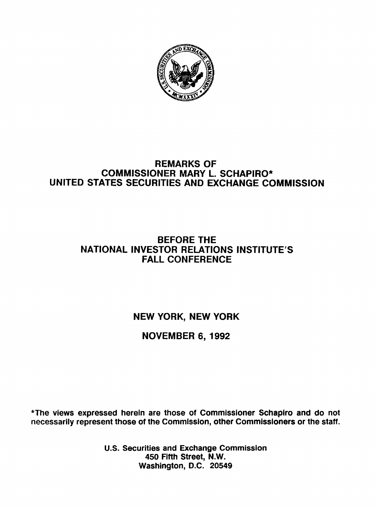

## REMARKS OF COMMISSIONER MARY L. SCHAPIRO\* UNITED STATES SECURITIES AND EXCHANGE COMMISSION

## BEFORE THE NATIONAL INVESTOR RELATIONS INSTITUTE'S FALL CONFERENCE

NEW YORK, NEW YORK

## NOVEMBER 6,1992

\*The views expressed herein are those of Commissioner Schapiro and do not necessarily represent those of the Commission, other Commissioners or the staff.

> U.S. Securities and Exchange Commission 450 Fifth Street, N.W. Washington, D.C. 20549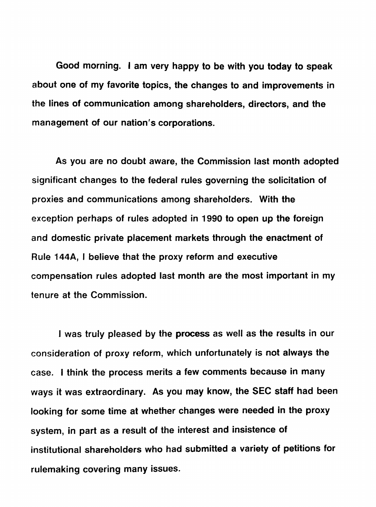Good morning. I am very happy to be with you today to speak about one of my favorite topics, the changes to and improvements in the lines of communication among shareholders, directors, and the management of our nation's corporations.

As you are no doubt aware, the Commission last month adopted significant changes to the federal rules governing the solicitation of proxies and communications among shareholders. With the exception perhaps of rules adopted in 1990 to open up the foreign and domestic private placement markets through the enactment of Rule 144A, I believe that the proxy reform and executive compensation rules adopted last month are the most important in my tenure at the Commission.

I was truly pleased by the process as well as the results in our consideration of proxy reform, which unfortunately is not always the case. I think the process merits a few comments because in many ways it was extraordinary. As you may know, the SEC staff had been looking for some time at whether changes were needed in the proxy system, in part as a result of the interest and insistence of institutional shareholders who had submitted a variety of petitions for rulemaking covering many issues.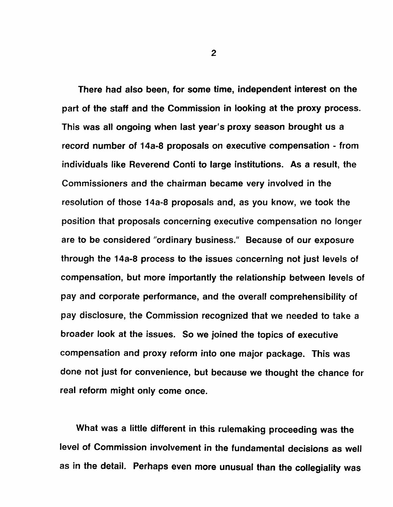There had also been, for some time, independent interest on the part of the staff and the Commission in looking at the proxy process. This was all ongoing when last year's proxy season brought us a record number of 14a-8 proposals on executive compensation - from individuals like Reverend Conti to large institutions. As a result, the Commissioners and the chairman became very involved in the resolution of those 14a-8 proposals and, as you know, we took the position that proposals concerning executive compensation no longer are to be considered "ordinary business." Because of our exposure through the 14a-8 process to the issues concerning not just levels of compensation, but more importantly the relationship between levels of pay and corporate performance, and the overall comprehensibility of pay disclosure, the Commission recognized that we needed to take a broader look at the issues. So we joined the topics of executive compensation and proxy reform into one major package. This was done not just for convenience, but because we thought the chance for real reform might only come once.

What was a little different in this rulemaking proceeding was the level of Commission involvement in the fundamental decisions as well as in the detail. Perhaps even more unusual than the collegiality was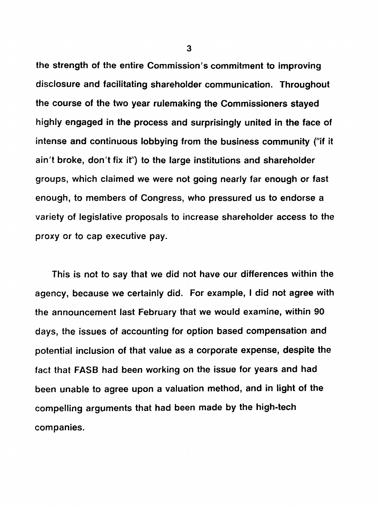the strength of the entire Commission's commitment to improving disclosure and facilitating shareholder communication. Throughout the course of the two year rulemaking the Commissioners stayed highly engaged in the process and surprisingly united in the face of intense and continuous lobbying from the business community ("if it ain't broke, don't fix it") to the large institutions and shareholder groups, which claimed we were not going nearly far enough or fast enough, to members of Congress, who pressured us to endorse a variety of legislative proposals to increase shareholder access to the proxy or to cap executive pay.

This is not to say that we did not have our differences within the agency, because we certainly did. For example, I did not agree with the announcement last February that we would examine, within 90 days, the issues of accounting for option based compensation and potential inclusion of that value as a corporate expense, despite the fact that FASB had been working on the issue for years and had been unable to agree upon a valuation method, and in light of the compelling arguments that had been made by the high-tech companies.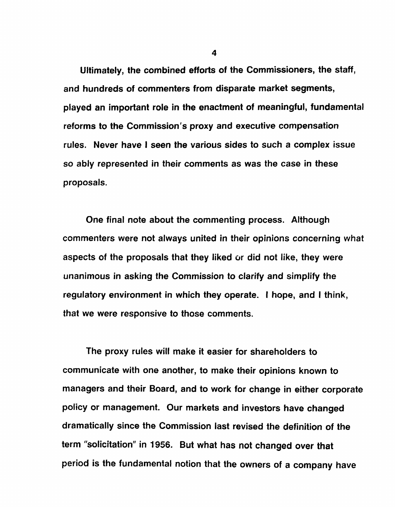Ultimately, the combined efforts of the Commissioners, the staff, and hundreds of commenters from disparate market segments, played an important role in the enactment of meaningful, fundamental reforms to the Commission's proxy and executive compensation rules. Never have I seen the various sides to such a complex issue so ably represented in their comments as was the case in these proposals.

One final note about the commenting process. Although commenters were not always united in their opinions concerning what aspects of the proposals that they liked or did not like, they were unanimous in asking the Commission to clarify and simplify the regulatory environment in which they operate. I hope, and I think, that we were responsive to those comments.

The proxy rules will make it easier for shareholders to communicate with one another, to make their opinions known to managers and their Board, and to work for change in either corporate policy or management. Our markets and investors have changed dramatically since the Commission last revised the definition of the term "solicitation" in 1956. But what has not changed over that period is the fundamental notion that the owners of a company have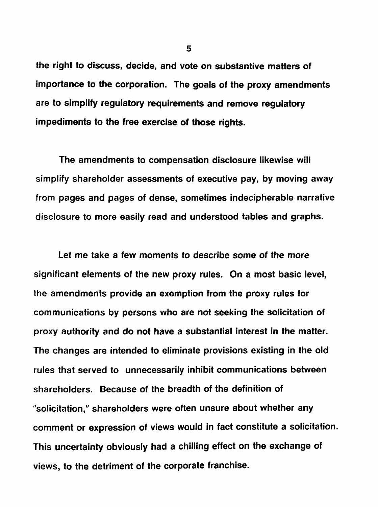the right to discuss, decide, and vote on substantive matters of importance to the corporation. The goals of the proxy amendments are to simplify regulatory requirements and remove regulatory impediments to the free exercise of those rights.

The amendments to compensation disclosure likewise will simplify shareholder assessments of executive pay, by moving away from pages and pages of dense, sometimes indecipherable narrative disclosure to more easily read and understood tables and graphs.

Let me take a few moments to describe some of the more significant elements of the new proxy rules. On a most basic level, the amendments provide an exemption from the proxy rules for communications by persons who are not seeking the solicitation of proxy authority and do not have a substantial interest in the matter. The changes are intended to eliminate provisions existing in the old rules that served to unnecessarily inhibit communications between shareholders. Because of the breadth of the definition of "solicitation," shareholders were often unsure about whether any comment or expression of views would in fact constitute a solicitation. This uncertainty obviously had a chilling effect on the exchange of views, to the detriment of the corporate franchise.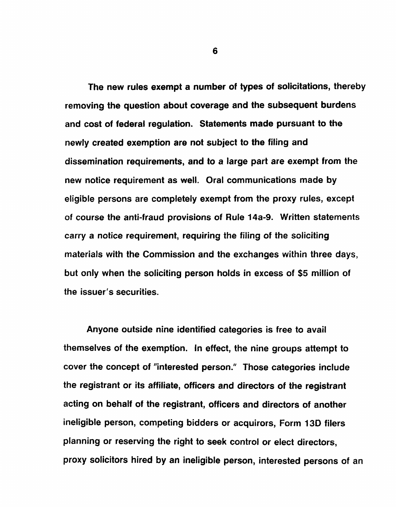The new rules exempt a number of types of solicitations, thereby removing the question about coverage and the subsequent burdens and cost of federal regulation. Statements made pursuant to the newly created exemption are not subject to the filing and dissemination requirements, and to a large part are exempt from the new notice requirement as well. Oral communications made by eligible persons are completely exempt from the proxy rules, except of course the anti-fraud provisions of Rule 14a-9. Written statements carry a notice requirement, requiring the filing of the soliciting materials with the Commission and the exchanges within three days, but only when the soliciting person holds in excess of \$5 million of the issuer's securities.

Anyone outside nine identified categories is free to avail themselves of the exemption. In effect, the nine groups attempt to cover the concept of "interested person." Those categories include the registrant or its affiliate, officers and directors of the registrant acting on behalf of the registrant, officers and directors of another ineligible person, competing bidders or acquirors, Form 130 filers planning or reserving the right to seek control or elect directors, proxy solicitors hired by an ineligible person, interested persons of an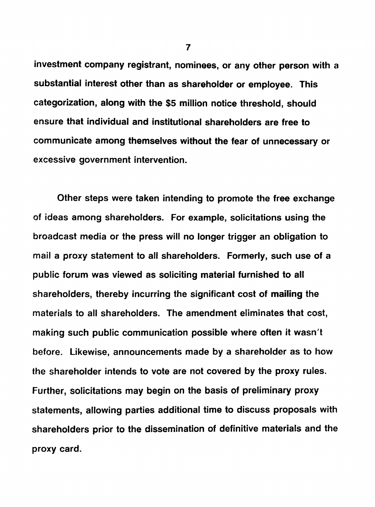investment company registrant, nominees, or any other person with a substantial interest other than as shareholder or employee. This categorization, along with the \$5 million notice threshold, should ensure that individual and institutional shareholders are free to communicate among themselves without the fear of unnecessary or excessive government intervention.

Other steps were taken intending to promote the free exchange of ideas among shareholders. For example, solicitations using the broadcast media or the press will no longer trigger an obligation to mail a proxy statement to all shareholders. Formerly, such use of a public forum was viewed as soliciting material furnished to all shareholders, thereby incurring the significant cost of mailing the materials to all shareholders. The amendment eliminates that cost, making such public communication possible where often it wasn't before. Likewise, announcements made by a shareholder as to how the shareholder intends to vote are not covered by the proxy rules. Further, solicitations may begin on the basis of preliminary proxy statements, allowing parties additional time to discuss proposals with shareholders prior to the dissemination of definitive materials and the proxy card.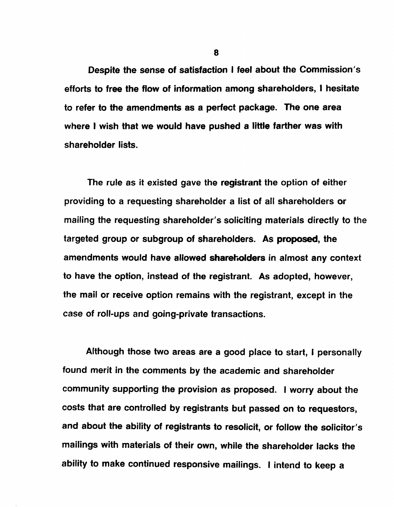Despite the sense of satisfaction I feel about the Commission's efforts to free the flow of information among shareholders, I hesitate to refer to the amendments as a perfect package. The one area where I wish that we would have pushed a little farther was with shareholder lists.

The rule as it existed gave the registrant the option of either providing to a requesting shareholder a list of all shareholders or mailing the requesting shareholder's soliciting materials directly to the targeted group or subgroup of shareholders. As proposed, the amendments would have allowed shareholders in almost any context to have the option, instead of the registrant. As adopted, however, the mail or receive option remains with the registrant, except in the case of roll-ups and going-private transactions.

Although those two areas are a good place to start, I personally found merit in the comments by the academic and shareholder community supporting the provision as proposed. <sup>J</sup> worry about the costs that are controlled by registrants but passed on to requestors, and about the ability of registrants to resolicit, or follow the solicitor's mailings with materials of their own, while the shareholder lacks the ability to make continued responsive mailings. I intend to keep a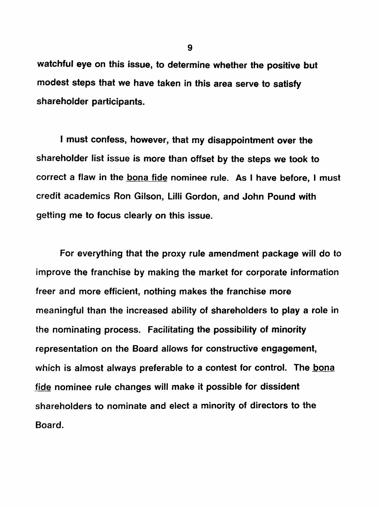watchful eye on this issue, to determine whether the positive but modest steps that we have taken in this area serve to satisfy shareholder participants.

I must confess, however, that my disappointment over the shareholder list issue is more than offset by the steps we took to correct a flaw in the bona fide nominee rule. As I have before, I must credit academics Ron Gilson, Lilli Gordon, and John Pound with getting me to focus clearly on this issue.

For everything that the proxy rule amendment package will do to improve the franchise by making the market for corporate information freer and more efficient, nothing makes the franchise more meaningful than the increased ability of shareholders to play a role in the nominating process. Facilitating the possibility of minority representation on the Board allows for constructive engagement, which is almost always preferable to a contest for control. The bona fide nominee rule changes will make it possible for dissident shareholders to nominate and elect a minority of directors to the Board.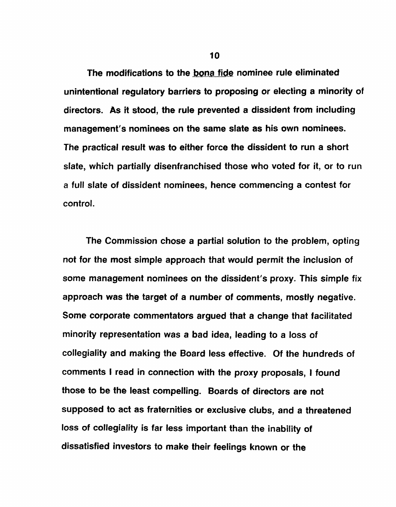The modifications to the bona fide nominee rule eliminated unintentional regulatory barriers to proposing or electing a minority of directors. As it stood, the rule prevented a dissident from including management's nominees on the same slate as his own nominees. The practical result was to either force the dissident to run a short slate, which partially disenfranchised those who voted for it, or to run a full slate of dissident nominees, hence commencing a contest for control.

The Commission chose a partial solution to the problem, opting not for the most simple approach that would permit the inclusion of some management nominees on the dissident's proxy. This simple fix approach was the target of a number of comments, mostly negative. Some corporate commentators argued that a change that facilitated minority representation was a bad idea, leading to a loss of collegiality and making the Board less effective. Of the hundreds of comments I read in connection with the proxy proposals, I found those to be the least compelling. Boards of directors are not supposed to act as fraternities or exclusive clubs, and a threatened loss of collegiality is far less important than the inability of dissatisfied investors to make their feelings known or the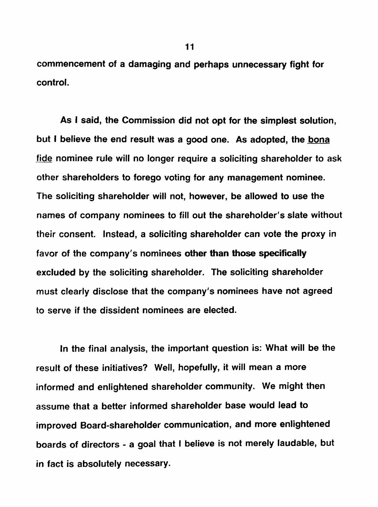commencement of a damaging and perhaps unnecessary fight for control.

As I said, the Commission did not opt for the simplest solution, but I believe the end result was a good one. As adopted, the bona fide nominee rule will no longer require a soliciting shareholder to ask other shareholders to forego voting for any management nominee. The soliciting shareholder will not, however, be allowed to use the names of company nominees to fill out the shareholder's slate without their consent. Instead, a soliciting shareholder can vote the proxy in favor of the company's nominees other than those specifically excluded by the soliciting shareholder. The soliciting shareholder must clearly disclose that the company's nominees have not agreed to serve if the dissident nominees are elected.

In the final analysis, the important question is: What will be the result of these initiatives? Well, hopefully, it will mean a more informed and enlightened shareholder community. We might then assume that a better informed shareholder base would lead to improved Board-shareholder communication, and more enlightened boards of directors - a goal that I believe is not merely laudable, but in fact is absolutely necessary.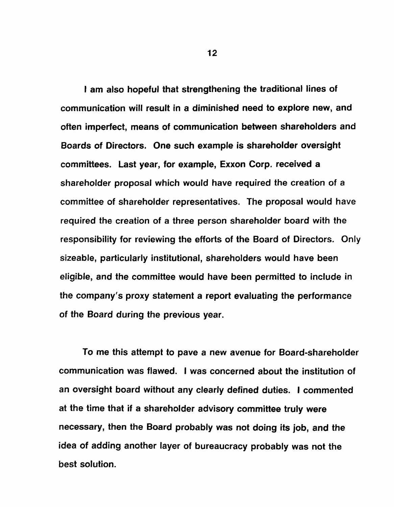I am also hopeful that strengthening the traditional lines of communication will result in a diminished need to explore new, and often imperfect, means of communication between shareholders and Boards of Directors. One such example is shareholder oversight committees. Last year, for example, Exxon Corp. received a shareholder proposal which would have required the creation of a committee of shareholder representatives. The proposal would have required the creation of a three person shareholder board with the responsibility for reviewing the efforts of the Board of Directors. Only sizeable, particularly institutional, shareholders would have been eligible, and the committee would have been permitted to include in the company's proxy statement a report evaluating the performance of the Board during the previous year.

To me this attempt to pave a new avenue for Board-shareholder communication was flawed. I was concerned about the institution of an oversight board without any clearly defined duties. I commented at the time that if a shareholder advisory committee truly were necessary, then the Board probably was not doing its job, and the idea of adding another layer of bureaucracy probably was not the best solution.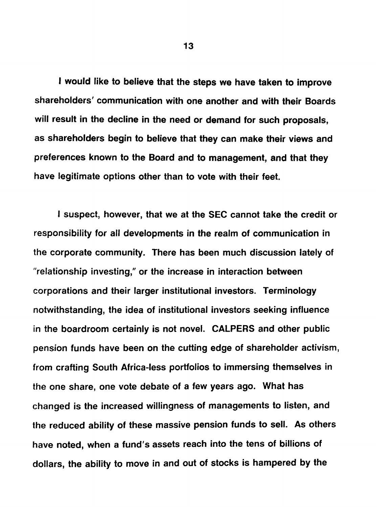I would like to believe that the steps we have taken to improve shareholders' communication with one another and with their Boards will result in the decline in the need or demand for such proposals, as shareholders begin to believe that they can make their views and preferences known to the Board and to management, and that they have legitimate options other than to vote with their feet.

I suspect, however, that we at the SEC cannot take the credit or responsibility for all developments in the realm of communication in the corporate community. There has been much discussion lately of "relationship investing," or the increase in interaction between corporations and their larger institutional investors. Terminology notwithstanding, the idea of institutional investors seeking influence in the boardroom certainly is not novel. CALPERS and other public pension funds have been on the cutting edge of shareholder activism, from crafting South Africa-less portfolios to immersing themselves in the one share, one vote debate of a few years ago. What has changed is the increased willingness of managements to listen, and the reduced ability of these massive pension funds to sell. As others have noted, when a fund's assets reach into the tens of billions of dollars, the ability to move in and out of stocks is hampered by the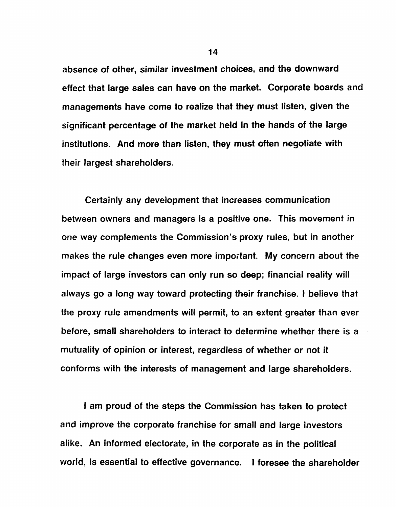absence of other, similar investment choices, and the downward effect that large sales can have on the market. Corporate boards and managements have come to realize that they must listen, given the significant percentage of the market held in the hands of the large institutions. And more than listen, they must often negotiate with their largest shareholders.

Certainly any development that increases communication between owners and managers is a positive one. This movement in one way complements the Commission's proxy rules, but in another makes the rule changes even more important. My concern about the impact of large investors can only run so deep; financial reality will always go a long way toward protecting their franchise. I believe that the proxy rule amendments will permit, to an extent greater than ever before, small shareholders to interact to determine whether there is a mutuality of opinion or interest, regardless of whether or not it conforms with the interests of management and large shareholders.

I am proud of the steps the Commission has taken to protect and improve the corporate franchise for small and large investors alike. An informed electorate, in the corporate as in the political world, is essential to effective governance. I foresee the shareholder